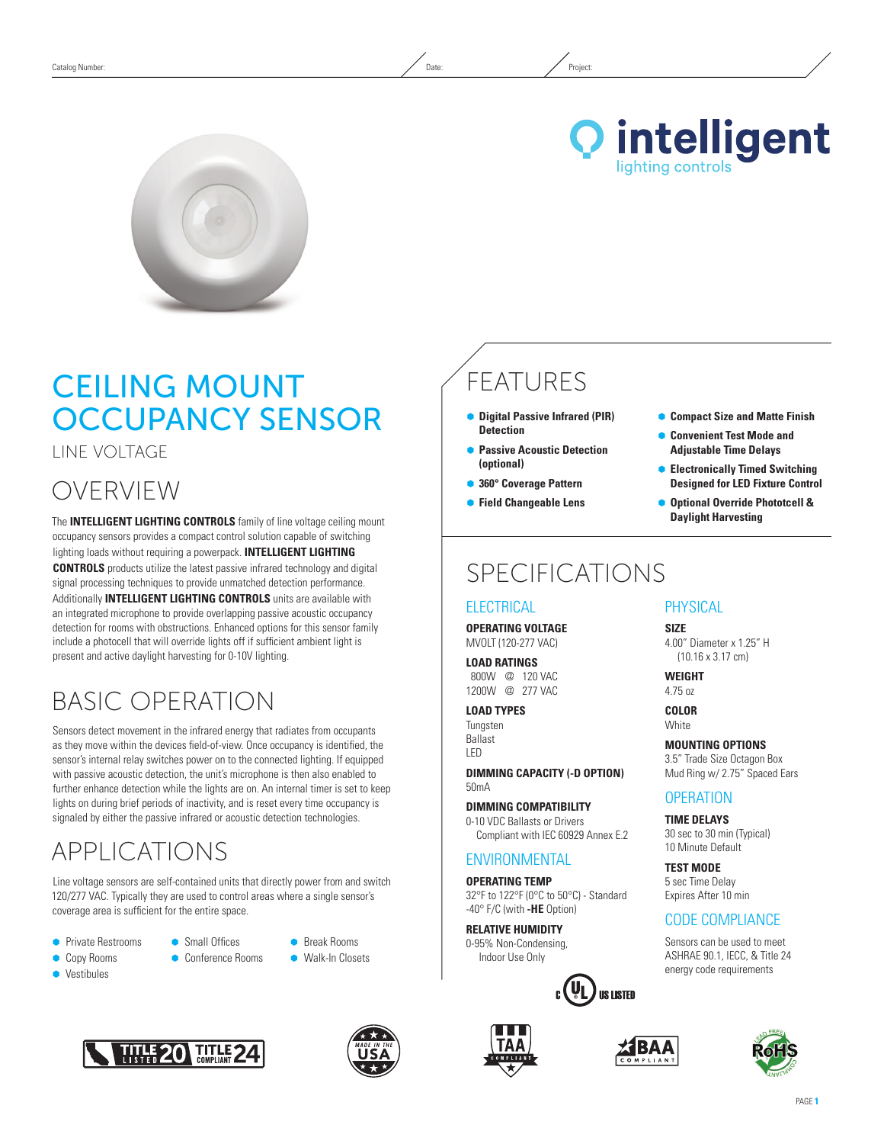



# Ceiling Mount **OCCUPANCY SENSOR**

Line Voltage

# OVERVIEW

The **INTELLIGENT LIGHTING CONTROLS** family of line voltage ceiling mount occupancy sensors provides a compact control solution capable of switching lighting loads without requiring a powerpack. **INTELLIGENT LIGHTING CONTROLS** products utilize the latest passive infrared technology and digital signal processing techniques to provide unmatched detection performance. Additionally **INTELLIGENT LIGHTING CONTROLS** units are available with an integrated microphone to provide overlapping passive acoustic occupancy detection for rooms with obstructions. Enhanced options for this sensor family include a photocell that will override lights off if sufficient ambient light is present and active daylight harvesting for 0-10V lighting.

# Basic Operation

Sensors detect movement in the infrared energy that radiates from occupants as they move within the devices field-of-view. Once occupancy is identified, the sensor's internal relay switches power on to the connected lighting. If equipped with passive acoustic detection, the unit's microphone is then also enabled to further enhance detection while the lights are on. An internal timer is set to keep lights on during brief periods of inactivity, and is reset every time occupancy is signaled by either the passive infrared or acoustic detection technologies.

# APPLICATIONS

Line voltage sensors are self-contained units that directly power from and switch 120/277 VAC. Typically they are used to control areas where a single sensor's coverage area is sufficient for the entire space.

- **•** Private Restrooms
- **Small Offices**
- 



Conference Rooms





**•** Break Rooms **• Walk-In Closets** 





# FEATURES

- **Digital Passive Infrared (PIR) Detection**
- **Passive Acoustic Detection (optional)**
- **360° Coverage Pattern**
- Ã **Field Changeable Lens**

# SPECIFICATIONS

### **ELECTRICAL**

**Operating Voltage** MVOLT (120-277 VAC)

#### **Load Ratings** 800W @ 120 VAC 1200W @ 277 VAC

**Load Types** Tungsten Ballast LED

**DIMMING CAPACITY (-D option)** 50mA

**Dimming Compatibility** 0-10 VDC Ballasts or Drivers Compliant with IEC 60929 Annex E.2

### **ENVIRONMENTAL**

**Operating Temp** 32°F to 122°F (0°C to 50°C) - Standard -40° F/C (with **-HE** Option)

**Relative Humidity** 0-95% Non-Condensing, Indoor Use Only





#### Ã **Compact Size and Matte Finish**

- **Convenient Test Mode and Adjustable Time Delays**
- Ã **Electronically Timed Switching Designed for LED Fixture Control**
- Ã **Optional Override Phototcell & Daylight Harvesting**

### **PHYSICAL**

**Size** 4.00" Diameter x 1.25" H (10.16 x 3.17 cm)

**Weight** 4.75 oz

**Color White** 

**MOUNTING OPTIONS** 3.5" Trade Size Octagon Box Mud Ring w/ 2.75" Spaced Ears

### **OPERATION**

**TIME DELAYS** 30 sec to 30 min (Typical) 10 Minute Default

**TEST MODE** 5 sec Time Delay Expires After 10 min

### CODE COMPLIANCE

Sensors can be used to meet ASHRAE 90.1, IECC, & Title 24 energy code requirements

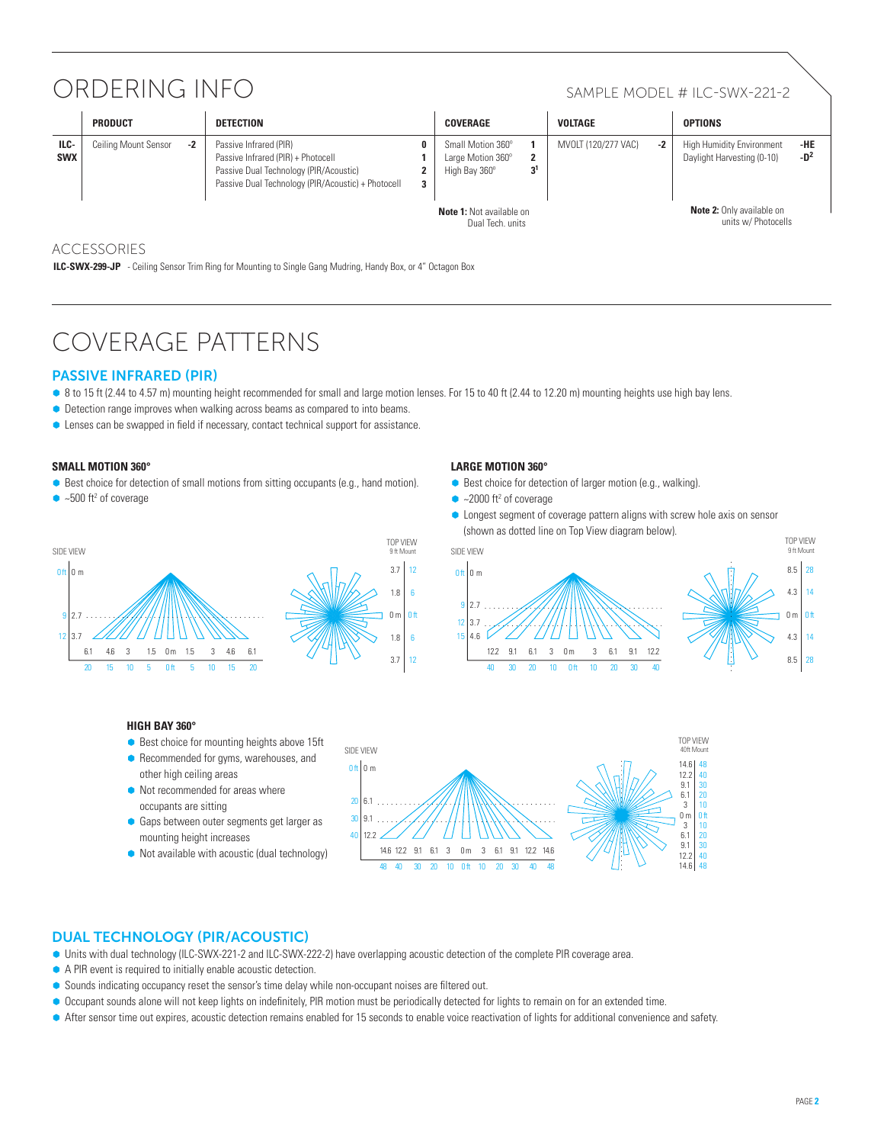# ORDERING INFO SAMPLE MODEL # ILC-SWX-221-2

|                    | <b>PRODUCT</b>       |      | <b>DETECTION</b>                                                                                                                                             |    | COVERAGE                                                |    | <b>VOLTAGE</b>      |      | <b>OPTIONS</b>                                                 |                        |
|--------------------|----------------------|------|--------------------------------------------------------------------------------------------------------------------------------------------------------------|----|---------------------------------------------------------|----|---------------------|------|----------------------------------------------------------------|------------------------|
| ILC-<br><b>SWX</b> | Ceiling Mount Sensor | $-2$ | Passive Infrared (PIR)<br>Passive Infrared (PIR) + Photocell<br>Passive Dual Technology (PIR/Acoustic)<br>Passive Dual Technology (PIR/Acoustic) + Photocell | э. | Small Motion 360°<br>Large Motion 360°<br>High Bay 360° | ה- | MVOLT (120/277 VAC) | $-2$ | <b>High Humidity Environment</b><br>Daylight Harvesting (0-10) | -HE<br>-D <sup>2</sup> |
|                    |                      |      |                                                                                                                                                              |    | <b>Note 1:</b> Not available on<br>Dual Toch unite      |    |                     |      | <b>Note 2:</b> Only available on<br>units w/ Photocells        |                        |

### ACCESSORIES

**ILC-SWX-299-JP** - Ceiling Sensor Trim Ring for Mounting to Single Gang Mudring, Handy Box, or 4" Octagon Box

# Coverage Patterns

### Passive Infrared (PIR)

- 8 to 15 ft (2.44 to 4.57 m) mounting height recommended for small and large motion lenses. For 15 to 40 ft (2.44 to 12.20 m) mounting heights use high bay lens.
- Detection range improves when walking across beams as compared to into beams.
- **C** Lenses can be swapped in field if necessary, contact technical support for assistance.

#### **Small Motion 360°**

- Best choice for detection of small motions from sitting occupants (e.g., hand motion).
- $\bullet$  ~500 ft<sup>2</sup> of coverage



### **LArge Motion 360°**

- **•** Best choice for detection of larger motion (e.g., walking).
- $\bullet$  ~2000 ft<sup>2</sup> of coverage
- Longest segment of coverage pattern aligns with screw hole axis on sensor (shown as dotted line on Top View diagram below).



#### **High Bay 360°**

- Best choice for mounting heights above 15ft
- **•** Recommended for gyms, warehouses, and other high ceiling areas
- $\bullet$  Not recommended for areas where occupants are sitting
- **Gaps between outer segments get larger as** mounting height increases
- $\bullet$  Not available with acoustic (dual technology)



### Dual Technology (PIR/Acoustic)

- Ã Units with dual technology (ILC-SWX-221-2 and ILC-SWX-222-2) have overlapping acoustic detection of the complete PIR coverage area.
- A PIR event is required to initially enable acoustic detection.
- Sounds indicating occupancy reset the sensor's time delay while non-occupant noises are filtered out.
- Occupant sounds alone will not keep lights on indefinitely, PIR motion must be periodically detected for lights to remain on for an extended time.
- Ã After sensor time out expires, acoustic detection remains enabled for 15 seconds to enable voice reactivation of lights for additional convenience and safety.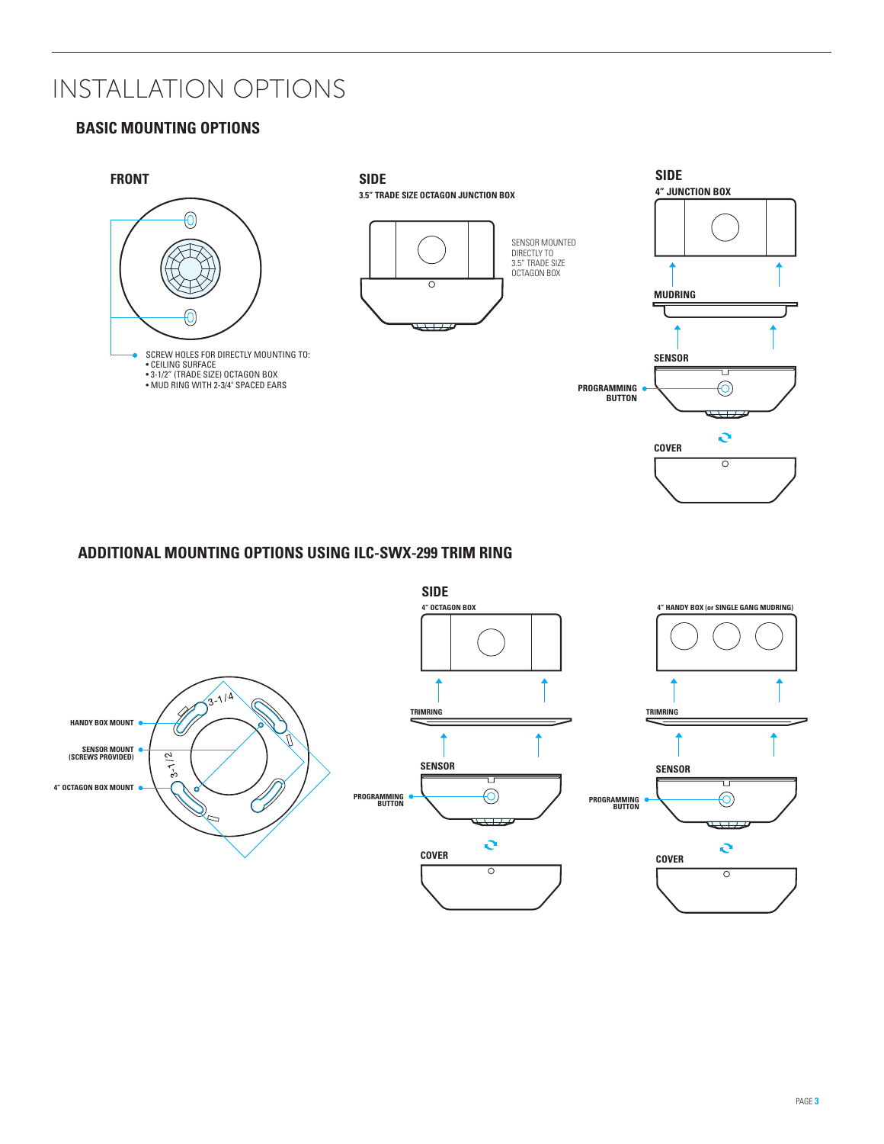# Installation Options

### **BASIC MOUNTING OPTIONS**



### **BUTTON BUTTON ADDITIONAL MOUNTING OPTIONS USING ILC-SWX-299 TRIM RING**